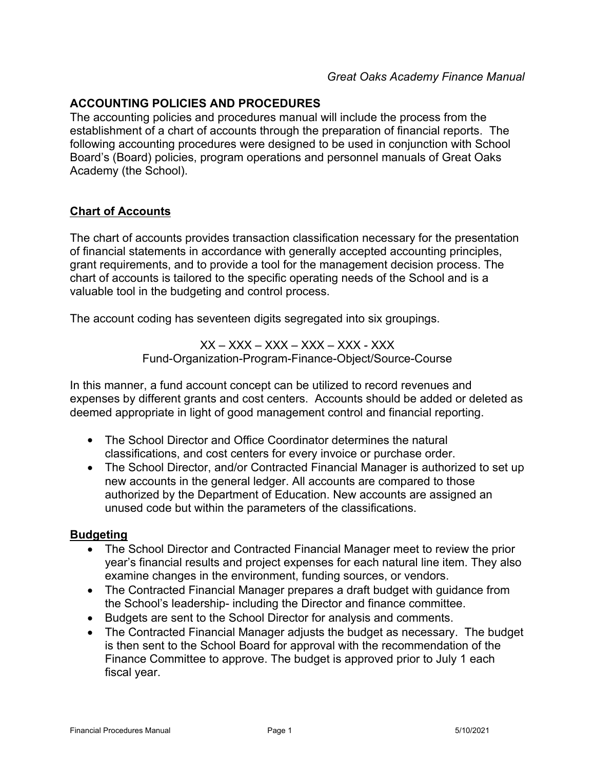## **ACCOUNTING POLICIES AND PROCEDURES**

The accounting policies and procedures manual will include the process from the establishment of a chart of accounts through the preparation of financial reports. The following accounting procedures were designed to be used in conjunction with School Board's (Board) policies, program operations and personnel manuals of Great Oaks Academy (the School).

### **Chart of Accounts**

The chart of accounts provides transaction classification necessary for the presentation of financial statements in accordance with generally accepted accounting principles, grant requirements, and to provide a tool for the management decision process. The chart of accounts is tailored to the specific operating needs of the School and is a valuable tool in the budgeting and control process.

The account coding has seventeen digits segregated into six groupings.

XX – XXX – XXX – XXX – XXX - XXX Fund-Organization-Program-Finance-Object/Source-Course

In this manner, a fund account concept can be utilized to record revenues and expenses by different grants and cost centers. Accounts should be added or deleted as deemed appropriate in light of good management control and financial reporting.

- The School Director and Office Coordinator determines the natural classifications, and cost centers for every invoice or purchase order.
- The School Director, and/or Contracted Financial Manager is authorized to set up new accounts in the general ledger. All accounts are compared to those authorized by the Department of Education. New accounts are assigned an unused code but within the parameters of the classifications.

#### **Budgeting**

- The School Director and Contracted Financial Manager meet to review the prior year's financial results and project expenses for each natural line item. They also examine changes in the environment, funding sources, or vendors.
- The Contracted Financial Manager prepares a draft budget with guidance from the School's leadership- including the Director and finance committee.
- Budgets are sent to the School Director for analysis and comments.
- The Contracted Financial Manager adjusts the budget as necessary. The budget is then sent to the School Board for approval with the recommendation of the Finance Committee to approve. The budget is approved prior to July 1 each fiscal year.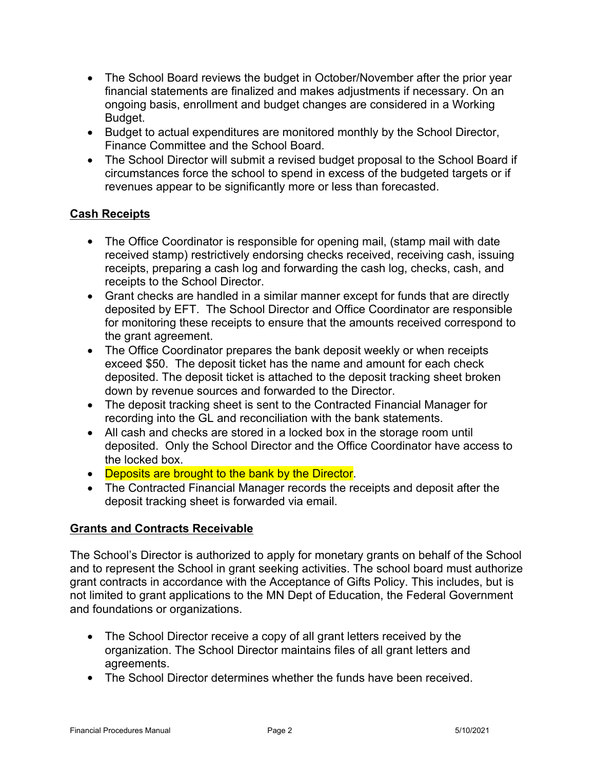- The School Board reviews the budget in October/November after the prior year financial statements are finalized and makes adjustments if necessary. On an ongoing basis, enrollment and budget changes are considered in a Working Budget.
- Budget to actual expenditures are monitored monthly by the School Director, Finance Committee and the School Board.
- The School Director will submit a revised budget proposal to the School Board if circumstances force the school to spend in excess of the budgeted targets or if revenues appear to be significantly more or less than forecasted.

## **Cash Receipts**

- The Office Coordinator is responsible for opening mail, (stamp mail with date received stamp) restrictively endorsing checks received, receiving cash, issuing receipts, preparing a cash log and forwarding the cash log, checks, cash, and receipts to the School Director.
- Grant checks are handled in a similar manner except for funds that are directly deposited by EFT. The School Director and Office Coordinator are responsible for monitoring these receipts to ensure that the amounts received correspond to the grant agreement.
- The Office Coordinator prepares the bank deposit weekly or when receipts exceed \$50. The deposit ticket has the name and amount for each check deposited. The deposit ticket is attached to the deposit tracking sheet broken down by revenue sources and forwarded to the Director.
- The deposit tracking sheet is sent to the Contracted Financial Manager for recording into the GL and reconciliation with the bank statements.
- All cash and checks are stored in a locked box in the storage room until deposited. Only the School Director and the Office Coordinator have access to the locked box.
- Deposits are brought to the bank by the Director.
- The Contracted Financial Manager records the receipts and deposit after the deposit tracking sheet is forwarded via email.

#### **Grants and Contracts Receivable**

The School's Director is authorized to apply for monetary grants on behalf of the School and to represent the School in grant seeking activities. The school board must authorize grant contracts in accordance with the Acceptance of Gifts Policy. This includes, but is not limited to grant applications to the MN Dept of Education, the Federal Government and foundations or organizations.

- The School Director receive a copy of all grant letters received by the organization. The School Director maintains files of all grant letters and agreements.
- The School Director determines whether the funds have been received.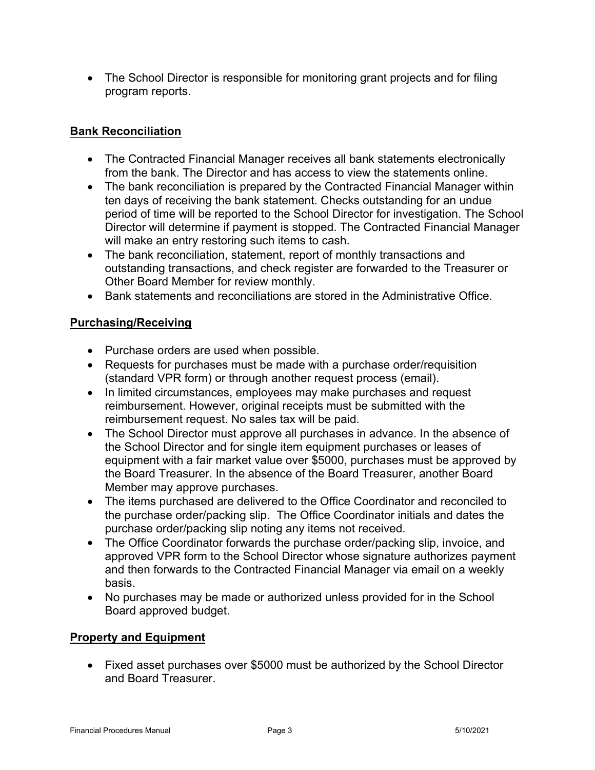• The School Director is responsible for monitoring grant projects and for filing program reports.

# **Bank Reconciliation**

- The Contracted Financial Manager receives all bank statements electronically from the bank. The Director and has access to view the statements online.
- The bank reconciliation is prepared by the Contracted Financial Manager within ten days of receiving the bank statement. Checks outstanding for an undue period of time will be reported to the School Director for investigation. The School Director will determine if payment is stopped. The Contracted Financial Manager will make an entry restoring such items to cash.
- The bank reconciliation, statement, report of monthly transactions and outstanding transactions, and check register are forwarded to the Treasurer or Other Board Member for review monthly.
- Bank statements and reconciliations are stored in the Administrative Office

## **Purchasing/Receiving**

- Purchase orders are used when possible.
- Requests for purchases must be made with a purchase order/requisition (standard VPR form) or through another request process (email).
- In limited circumstances, employees may make purchases and request reimbursement. However, original receipts must be submitted with the reimbursement request. No sales tax will be paid.
- The School Director must approve all purchases in advance. In the absence of the School Director and for single item equipment purchases or leases of equipment with a fair market value over \$5000, purchases must be approved by the Board Treasurer. In the absence of the Board Treasurer, another Board Member may approve purchases.
- The items purchased are delivered to the Office Coordinator and reconciled to the purchase order/packing slip. The Office Coordinator initials and dates the purchase order/packing slip noting any items not received.
- The Office Coordinator forwards the purchase order/packing slip, invoice, and approved VPR form to the School Director whose signature authorizes payment and then forwards to the Contracted Financial Manager via email on a weekly basis.
- No purchases may be made or authorized unless provided for in the School Board approved budget.

## **Property and Equipment**

 Fixed asset purchases over \$5000 must be authorized by the School Director and Board Treasurer.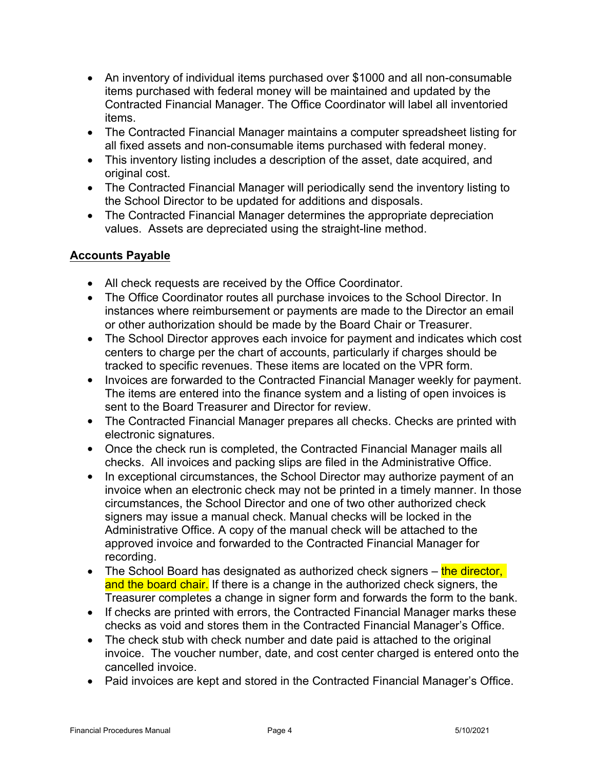- An inventory of individual items purchased over \$1000 and all non-consumable items purchased with federal money will be maintained and updated by the Contracted Financial Manager. The Office Coordinator will label all inventoried items.
- The Contracted Financial Manager maintains a computer spreadsheet listing for all fixed assets and non-consumable items purchased with federal money.
- This inventory listing includes a description of the asset, date acquired, and original cost.
- The Contracted Financial Manager will periodically send the inventory listing to the School Director to be updated for additions and disposals.
- The Contracted Financial Manager determines the appropriate depreciation values. Assets are depreciated using the straight-line method.

# **Accounts Payable**

- All check requests are received by the Office Coordinator.
- The Office Coordinator routes all purchase invoices to the School Director. In instances where reimbursement or payments are made to the Director an email or other authorization should be made by the Board Chair or Treasurer.
- The School Director approves each invoice for payment and indicates which cost centers to charge per the chart of accounts, particularly if charges should be tracked to specific revenues. These items are located on the VPR form.
- Invoices are forwarded to the Contracted Financial Manager weekly for payment. The items are entered into the finance system and a listing of open invoices is sent to the Board Treasurer and Director for review.
- The Contracted Financial Manager prepares all checks. Checks are printed with electronic signatures.
- Once the check run is completed, the Contracted Financial Manager mails all checks. All invoices and packing slips are filed in the Administrative Office.
- In exceptional circumstances, the School Director may authorize payment of an invoice when an electronic check may not be printed in a timely manner. In those circumstances, the School Director and one of two other authorized check signers may issue a manual check. Manual checks will be locked in the Administrative Office. A copy of the manual check will be attached to the approved invoice and forwarded to the Contracted Financial Manager for recording.
- The School Board has designated as authorized check signers the director, and the board chair. If there is a change in the authorized check signers, the Treasurer completes a change in signer form and forwards the form to the bank.
- If checks are printed with errors, the Contracted Financial Manager marks these checks as void and stores them in the Contracted Financial Manager's Office.
- The check stub with check number and date paid is attached to the original invoice. The voucher number, date, and cost center charged is entered onto the cancelled invoice.
- Paid invoices are kept and stored in the Contracted Financial Manager's Office.